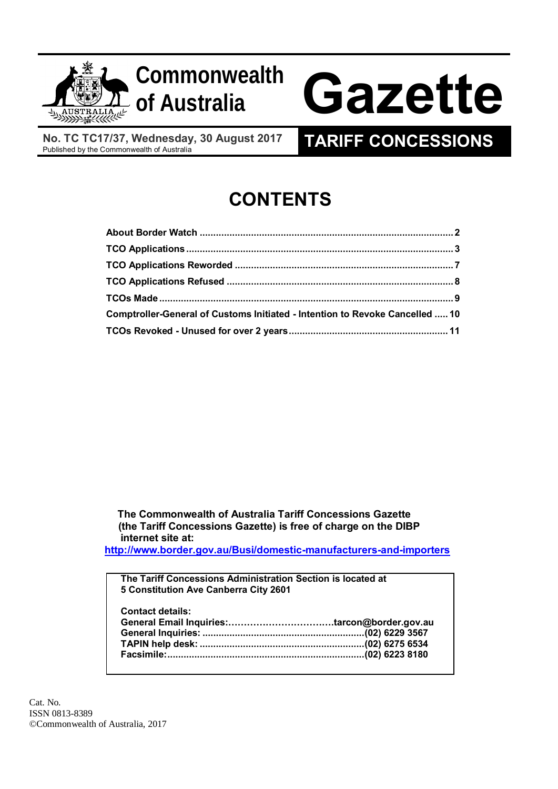

**Commonwealth**

# Gazette

**No. TC TC17/37, Wednesday, 30 August 2017**<br>Published by the Commonwealth of Australia

## **TARIFF CONCESSIONS**

## **CONTENTS**

| Comptroller-General of Customs Initiated - Intention to Revoke Cancelled  10 |  |
|------------------------------------------------------------------------------|--|
|                                                                              |  |

 **The Commonwealth of Australia Tariff Concessions Gazette (the Tariff Concessions Gazette) is free of charge on the DIBP internet site at:**

**<http://www.border.gov.au/Busi/domestic-manufacturers-and-importers>**

**The Tariff Concessions Administration Section is located at 5 Constitution Ave Canberra City 2601**

**Contact details:**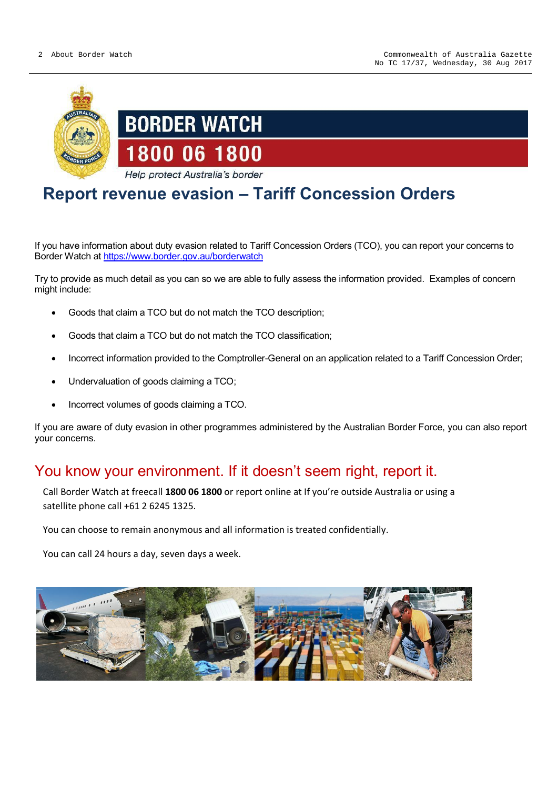

## **Report revenue evasion – Tariff Concession Orders**

If you have information about duty evasion related to Tariff Concession Orders (TCO), you can report your concerns to Border Watch at<https://www.border.gov.au/borderwatch>

Try to provide as much detail as you can so we are able to fully assess the information provided. Examples of concern might include:

- Goods that claim a TCO but do not match the TCO description;
- Goods that claim a TCO but do not match the TCO classification;
- Incorrect information provided to the Comptroller-General on an application related to a Tariff Concession Order;
- Undervaluation of goods claiming a TCO;
- Incorrect volumes of goods claiming a TCO.

If you are aware of duty evasion in other programmes administered by the Australian Border Force, you can also report your concerns.

### You know your environment. If it doesn't seem right, report it.

Call Border Watch at freecall **1800 06 1800** or report online at If you're outside Australia or using a satellite phone call +61 2 6245 1325.

You can choose to remain anonymous and all information is treated confidentially.

You can call 24 hours a day, seven days a week.

<span id="page-1-0"></span>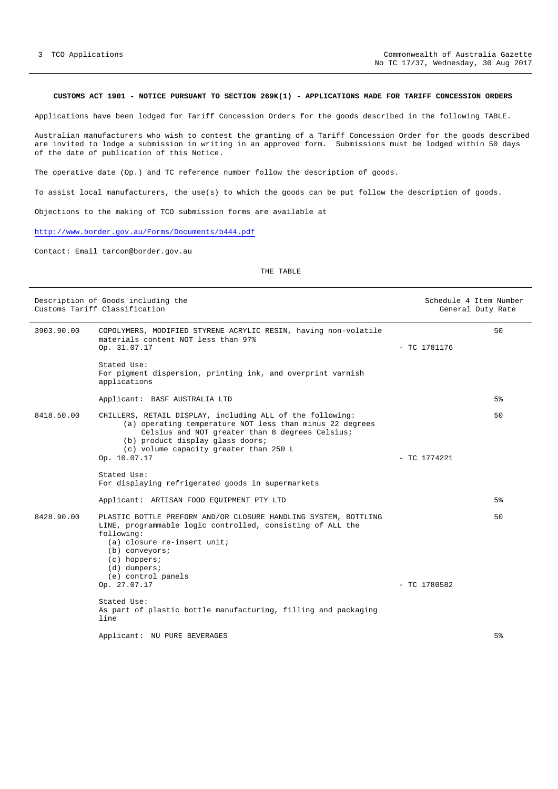#### <span id="page-2-0"></span>**CUSTOMS ACT 1901 - NOTICE PURSUANT TO SECTION 269K(1) - APPLICATIONS MADE FOR TARIFF CONCESSION ORDERS**

Applications have been lodged for Tariff Concession Orders for the goods described in the following TABLE.

Australian manufacturers who wish to contest the granting of a Tariff Concession Order for the goods described are invited to lodge a submission in writing in an approved form. Submissions must be lodged within 50 days of the date of publication of this Notice.

The operative date (Op.) and TC reference number follow the description of goods.

To assist local manufacturers, the use(s) to which the goods can be put follow the description of goods.

Objections to the making of TCO submission forms are available at

<http://www.border.gov.au/Forms/Documents/b444.pdf>

Contact: Email tarcon@border.gov.au

#### THE TABLE

|            | Description of Goods including the<br>Customs Tariff Classification                                                                                                                                                                                      |                | Schedule 4 Item Number<br>General Duty Rate |
|------------|----------------------------------------------------------------------------------------------------------------------------------------------------------------------------------------------------------------------------------------------------------|----------------|---------------------------------------------|
| 3903.90.00 | COPOLYMERS, MODIFIED STYRENE ACRYLIC RESIN, having non-volatile<br>materials content NOT less than 97%<br>Op. 31.07.17                                                                                                                                   | $-$ TC 1781176 | 50                                          |
|            | Stated Use:<br>For pigment dispersion, printing ink, and overprint varnish<br>applications                                                                                                                                                               |                |                                             |
|            | Applicant: BASF AUSTRALIA LTD                                                                                                                                                                                                                            |                | 5%                                          |
| 8418.50.00 | CHILLERS, RETAIL DISPLAY, including ALL of the following:<br>(a) operating temperature NOT less than minus 22 degrees<br>Celsius and NOT greater than 8 degrees Celsius;<br>(b) product display glass doors;<br>(c) volume capacity greater than 250 L   |                | 50                                          |
|            | Op. 10.07.17                                                                                                                                                                                                                                             | $-$ TC 1774221 |                                             |
|            | Stated Use:<br>For displaying refrigerated goods in supermarkets                                                                                                                                                                                         |                |                                             |
|            | Applicant: ARTISAN FOOD EQUIPMENT PTY LTD                                                                                                                                                                                                                |                | 5 <sup>8</sup>                              |
| 8428.90.00 | PLASTIC BOTTLE PREFORM AND/OR CLOSURE HANDLING SYSTEM, BOTTLING<br>LINE, programmable logic controlled, consisting of ALL the<br>following:<br>(a) closure re-insert unit;<br>$(b)$ conveyors;<br>$(c)$ hoppers;<br>$(d)$ dumpers;<br>(e) control panels |                | 50                                          |
|            | Op. 27.07.17                                                                                                                                                                                                                                             | $-$ TC 1780582 |                                             |
|            | Stated Use:<br>As part of plastic bottle manufacturing, filling and packaging<br>line                                                                                                                                                                    |                |                                             |
|            | Applicant: NU PURE BEVERAGES                                                                                                                                                                                                                             |                | 5 <sup>8</sup>                              |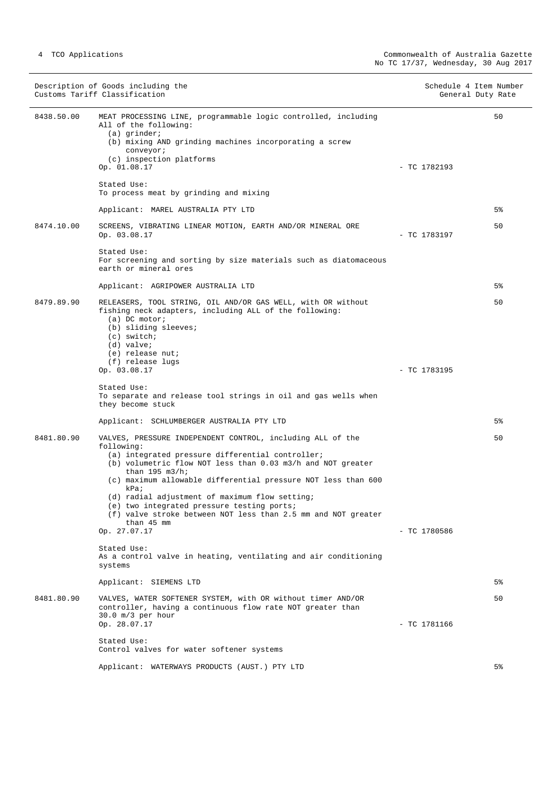Description of Goods including the Schedule 4 Item Number<br>
Customs Tariff Classification (Seneral Duty Rate) Customs Tariff Classification 8438.50.00 MEAT PROCESSING LINE, programmable logic controlled, including All of the following: (a) grinder; (b) mixing AND grinding machines incorporating a screw conveyor; (c) inspection platforms Op. 01.08.17 - TC 1782193 Stated Use: To process meat by grinding and mixing Applicant: MAREL AUSTRALIA PTY LTD 50 5% 8474.10.00 SCREENS, VIBRATING LINEAR MOTION, EARTH AND/OR MINERAL ORE  $Op. 03.08.17$  - TC 1783197 Stated Use: For screening and sorting by size materials such as diatomaceous earth or mineral ores Applicant: AGRIPOWER AUSTRALIA LTD 50 5% 8479.89.90 RELEASERS, TOOL STRING, OIL AND/OR GAS WELL, with OR without fishing neck adapters, including ALL of the following: (a) DC motor; (b) sliding sleeves; (c) switch; (d) valve; (e) release nut; (f) release lugs Op. 03.08.17 - TC 1783195 Stated Use: To separate and release tool strings in oil and gas wells when they become stuck Applicant: SCHLUMBERGER AUSTRALIA PTY LTD 50 5% 8481.80.90 VALVES, PRESSURE INDEPENDENT CONTROL, including ALL of the following: (a) integrated pressure differential controller; (b) volumetric flow NOT less than 0.03 m3/h and NOT greater than 195 m3/h; (c) maximum allowable differential pressure NOT less than 600 kPa; (d) radial adjustment of maximum flow setting; (e) two integrated pressure testing ports; (f) valve stroke between NOT less than 2.5 mm and NOT greater than 45 mm Op. 27.07.17 - TC 1780586 Stated Use: As a control valve in heating, ventilating and air conditioning systems Applicant: SIEMENS LTD 50 5% 8481.80.90 VALVES, WATER SOFTENER SYSTEM, with OR without timer AND/OR controller, having a continuous flow rate NOT greater than 30.0 m/3 per hour  $O_{\mathcal{D}}$ , 28.07.17 - TC 1781166 Stated Use: Control valves for water softener systems Applicant: WATERWAYS PRODUCTS (AUST.) PTY LTD 50 5%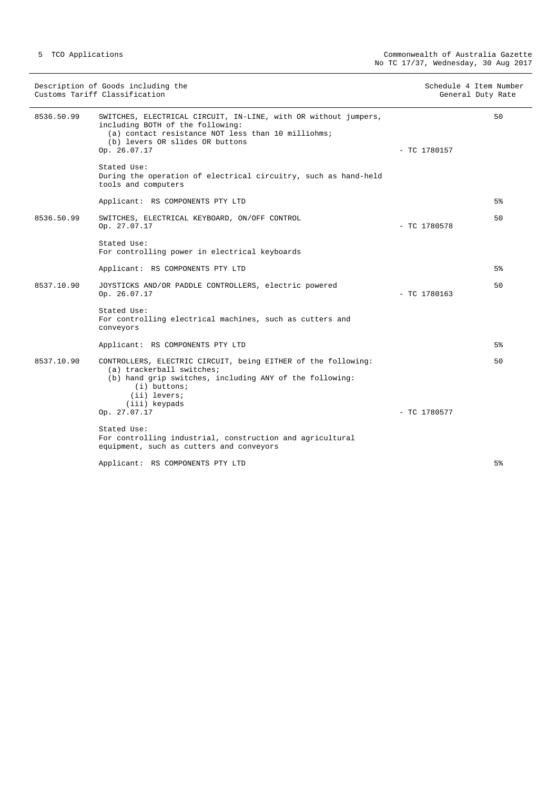| Description of Goods including the<br>Customs Tariff Classification |                                                                                                                                                                                                                             | Schedule 4 Item Number<br>General Duty Rate |    |
|---------------------------------------------------------------------|-----------------------------------------------------------------------------------------------------------------------------------------------------------------------------------------------------------------------------|---------------------------------------------|----|
| 8536.50.99                                                          | SWITCHES, ELECTRICAL CIRCUIT, IN-LINE, with OR without jumpers,<br>including BOTH of the following:<br>(a) contact resistance NOT less than 10 milliohms;<br>(b) levers OR slides OR buttons<br>Op. 26.07.17<br>Stated Use: | $-$ TC 1780157                              | 50 |
|                                                                     | During the operation of electrical circuitry, such as hand-held<br>tools and computers                                                                                                                                      |                                             |    |
|                                                                     | Applicant: RS COMPONENTS PTY LTD                                                                                                                                                                                            |                                             | 5% |
| 8536.50.99                                                          | SWITCHES, ELECTRICAL KEYBOARD, ON/OFF CONTROL<br>Op. 27.07.17                                                                                                                                                               | $-$ TC 1780578                              | 50 |
|                                                                     | Stated Use:<br>For controlling power in electrical keyboards                                                                                                                                                                |                                             |    |
|                                                                     | Applicant: RS COMPONENTS PTY LTD                                                                                                                                                                                            |                                             | 5% |
| 8537.10.90                                                          | JOYSTICKS AND/OR PADDLE CONTROLLERS, electric powered<br>Op. 26.07.17                                                                                                                                                       | $-$ TC 1780163                              | 50 |
|                                                                     | Stated Use:<br>For controlling electrical machines, such as cutters and<br>conveyors                                                                                                                                        |                                             |    |
|                                                                     | Applicant: RS COMPONENTS PTY LTD                                                                                                                                                                                            |                                             | 5% |
| 8537.10.90                                                          | CONTROLLERS, ELECTRIC CIRCUIT, being EITHER of the following:<br>(a) trackerball switches;<br>(b) hand grip switches, including ANY of the following:<br>$(i)$ buttons;<br>$(iii)$ levers;<br>(iii) keypads                 |                                             | 50 |
|                                                                     | Op. 27.07.17                                                                                                                                                                                                                | $-$ TC 1780577                              |    |
|                                                                     | Stated Use:<br>For controlling industrial, construction and agricultural<br>equipment, such as cutters and conveyors                                                                                                        |                                             |    |
|                                                                     | Applicant: RS COMPONENTS PTY LTD                                                                                                                                                                                            |                                             | 5% |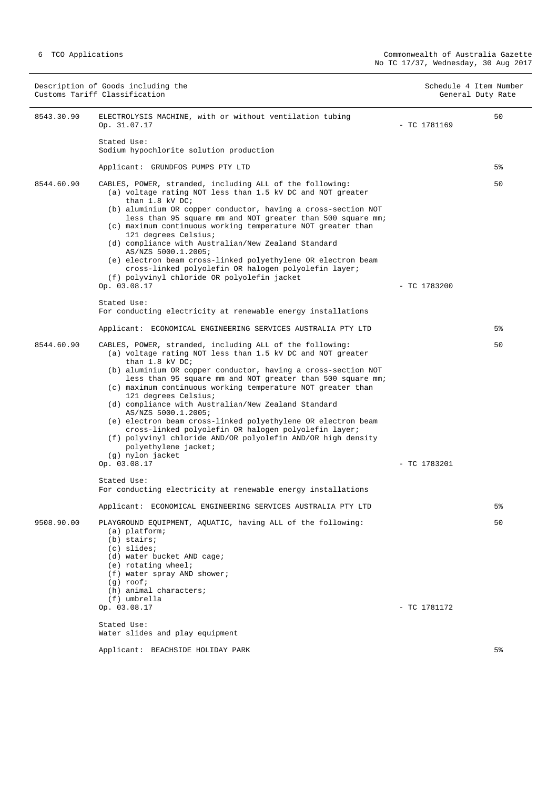|            | Description of Goods including the<br>Customs Tariff Classification                                                                                                                                                                                                                                                                                                                                                                                                                                                                                                                                                                                                                                                                                                                                                                                |                | Schedule 4 Item Number<br>General Duty Rate |
|------------|----------------------------------------------------------------------------------------------------------------------------------------------------------------------------------------------------------------------------------------------------------------------------------------------------------------------------------------------------------------------------------------------------------------------------------------------------------------------------------------------------------------------------------------------------------------------------------------------------------------------------------------------------------------------------------------------------------------------------------------------------------------------------------------------------------------------------------------------------|----------------|---------------------------------------------|
| 8543.30.90 | ELECTROLYSIS MACHINE, with or without ventilation tubing<br>Op. 31.07.17                                                                                                                                                                                                                                                                                                                                                                                                                                                                                                                                                                                                                                                                                                                                                                           | $-$ TC 1781169 | 50                                          |
|            | Stated Use:<br>Sodium hypochlorite solution production                                                                                                                                                                                                                                                                                                                                                                                                                                                                                                                                                                                                                                                                                                                                                                                             |                |                                             |
|            | Applicant: GRUNDFOS PUMPS PTY LTD                                                                                                                                                                                                                                                                                                                                                                                                                                                                                                                                                                                                                                                                                                                                                                                                                  |                | 5%                                          |
| 8544.60.90 | CABLES, POWER, stranded, including ALL of the following:<br>(a) voltage rating NOT less than 1.5 kV DC and NOT greater<br>than $1.8$ kV DC;<br>(b) aluminium OR copper conductor, having a cross-section NOT<br>less than 95 square mm and NOT greater than 500 square mm;<br>(c) maximum continuous working temperature NOT greater than<br>121 degrees Celsius;<br>(d) compliance with Australian/New Zealand Standard<br>AS/NZS 5000.1.2005;<br>(e) electron beam cross-linked polyethylene OR electron beam<br>cross-linked polyolefin OR halogen polyolefin layer;<br>(f) polyvinyl chloride OR polyolefin jacket<br>Op. 03.08.17<br>Stated Use:<br>For conducting electricity at renewable energy installations                                                                                                                              | $-$ TC 1783200 | 50                                          |
|            | Applicant: ECONOMICAL ENGINEERING SERVICES AUSTRALIA PTY LTD                                                                                                                                                                                                                                                                                                                                                                                                                                                                                                                                                                                                                                                                                                                                                                                       |                | 5%                                          |
| 8544.60.90 | CABLES, POWER, stranded, including ALL of the following:<br>(a) voltage rating NOT less than 1.5 kV DC and NOT greater<br>than $1.8$ kV DC;<br>(b) aluminium OR copper conductor, having a cross-section NOT<br>less than 95 square mm and NOT greater than 500 square mm;<br>(c) maximum continuous working temperature NOT greater than<br>121 degrees Celsius;<br>(d) compliance with Australian/New Zealand Standard<br>AS/NZS 5000.1.2005;<br>(e) electron beam cross-linked polyethylene OR electron beam<br>cross-linked polyolefin OR halogen polyolefin layer;<br>(f) polyvinyl chloride AND/OR polyolefin AND/OR high density<br>polyethylene jacket;<br>(g) nylon jacket<br>Op. 03.08.17<br>Stated Use:<br>For conducting electricity at renewable energy installations<br>Applicant: ECONOMICAL ENGINEERING SERVICES AUSTRALIA PTY LTD | $-$ TC 1783201 | 50<br>5%                                    |
| 9508.90.00 | PLAYGROUND EQUIPMENT, AQUATIC, having ALL of the following:<br>$(a)$ platform;<br>(b) stairs;<br>$(c)$ slides;<br>(d) water bucket AND cage;<br>$(e)$ rotating wheel;<br>(f) water spray AND shower;<br>(g) root i<br>(h) animal characters;<br>(f) umbrella<br>Op. 03.08.17<br>Stated Use:<br>Water slides and play equipment                                                                                                                                                                                                                                                                                                                                                                                                                                                                                                                     | - TC 1781172   | 50                                          |
|            | Applicant: BEACHSIDE HOLIDAY PARK                                                                                                                                                                                                                                                                                                                                                                                                                                                                                                                                                                                                                                                                                                                                                                                                                  |                | 5%                                          |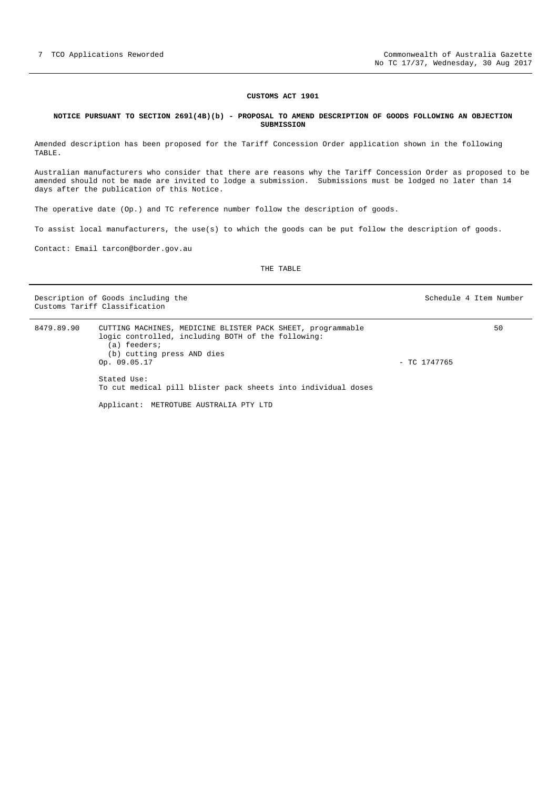#### <span id="page-6-0"></span>**NOTICE PURSUANT TO SECTION 269l(4B)(b) - PROPOSAL TO AMEND DESCRIPTION OF GOODS FOLLOWING AN OBJECTION SUBMISSION**

Amended description has been proposed for the Tariff Concession Order application shown in the following TABLE.

Australian manufacturers who consider that there are reasons why the Tariff Concession Order as proposed to be amended should not be made are invited to lodge a submission. Submissions must be lodged no later than 14 days after the publication of this Notice.

The operative date (Op.) and TC reference number follow the description of goods.

To assist local manufacturers, the use(s) to which the goods can be put follow the description of goods.

Contact: Email tarcon@border.gov.au

#### THE TABLE

Description of Goods including the Schedule 4 Item Number Customs Tariff Classification

8479.89.90 CUTTING MACHINES, MEDICINE BLISTER PACK SHEET, programmable logic controlled, including BOTH of the following: (a) feeders; (b) cutting press AND dies Op. 09.05.17 - TC 1747765 Stated Use: To cut medical pill blister pack sheets into individual doses Applicant: METROTUBE AUSTRALIA PTY LTD 50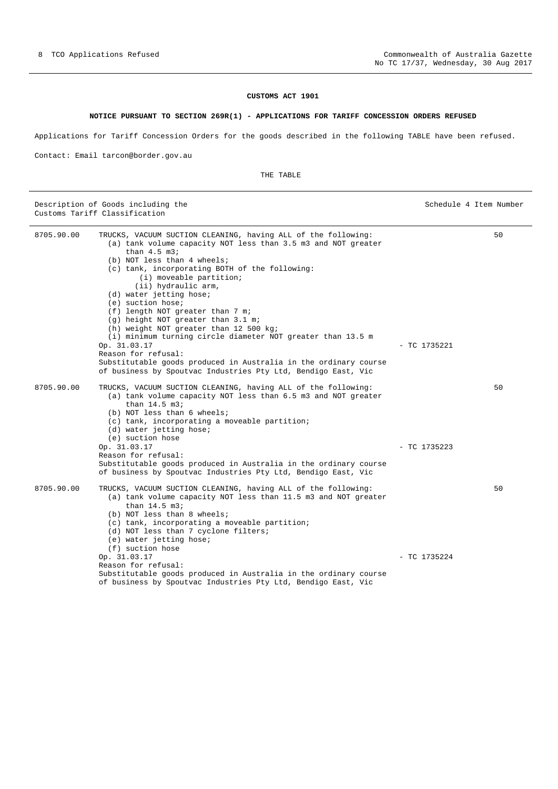#### **NOTICE PURSUANT TO SECTION 269R(1) - APPLICATIONS FOR TARIFF CONCESSION ORDERS REFUSED**

<span id="page-7-0"></span>Applications for Tariff Concession Orders for the goods described in the following TABLE have been refused.

Contact: Email tarcon@border.gov.au

THE TABLE

Description of Goods including the Schedule 4 Item Number (Schedule 4 Item Number Customs Tariff Classification 8705.90.00 TRUCKS, VACUUM SUCTION CLEANING, having ALL of the following: (a) tank volume capacity NOT less than 3.5 m3 and NOT greater than 4.5 m3; (b) NOT less than 4 wheels; (c) tank, incorporating BOTH of the following: (i) moveable partition; (ii) hydraulic arm, (d) water jetting hose; (e) suction hose; (f) length NOT greater than 7 m; (g) height NOT greater than 3.1 m; (h) weight NOT greater than 12 500 kg; (i) minimum turning circle diameter NOT greater than 13.5 m  $\overline{Op}$ , 31.03.17 - TC 1735221 Reason for refusal: Substitutable goods produced in Australia in the ordinary course of business by Spoutvac Industries Pty Ltd, Bendigo East, Vic 50 8705.90.00 TRUCKS, VACUUM SUCTION CLEANING, having ALL of the following: (a) tank volume capacity NOT less than 6.5 m3 and NOT greater than 14.5 m3; (b) NOT less than 6 wheels; (c) tank, incorporating a moveable partition; (d) water jetting hose; (e) suction hose Op. 31.03.17 - TC 1735223 Reason for refusal: Substitutable goods produced in Australia in the ordinary course of business by Spoutvac Industries Pty Ltd, Bendigo East, Vic 50 8705.90.00 TRUCKS, VACUUM SUCTION CLEANING, having ALL of the following: (a) tank volume capacity NOT less than 11.5 m3 and NOT greater than 14.5 m3; (b) NOT less than 8 wheels; (c) tank, incorporating a moveable partition; (d) NOT less than 7 cyclone filters; (e) water jetting hose; (f) suction hose Op. 31.03.17 - TC 1735224 Reason for refusal: Substitutable goods produced in Australia in the ordinary course of business by Spoutvac Industries Pty Ltd, Bendigo East, Vic 50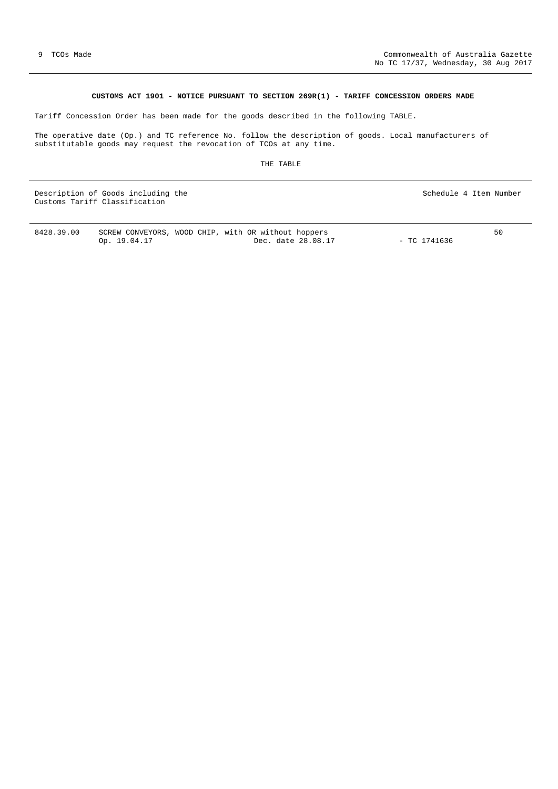#### **CUSTOMS ACT 1901 - NOTICE PURSUANT TO SECTION 269R(1) - TARIFF CONCESSION ORDERS MADE**

<span id="page-8-0"></span>Tariff Concession Order has been made for the goods described in the following TABLE.

The operative date (Op.) and TC reference No. follow the description of goods. Local manufacturers of substitutable goods may request the revocation of TCOs at any time.

THE TABLE

Description of Goods including the Schedule 4 Item Number Schedule 4 Item Number Customs Tariff Classification

50

8428.39.00 SCREW CONVEYORS, WOOD CHIP, with OR without hoppers<br>Op. 19.04.17 Dec. date 28.08.1 Dec. date 28.08.17 - TC 1741636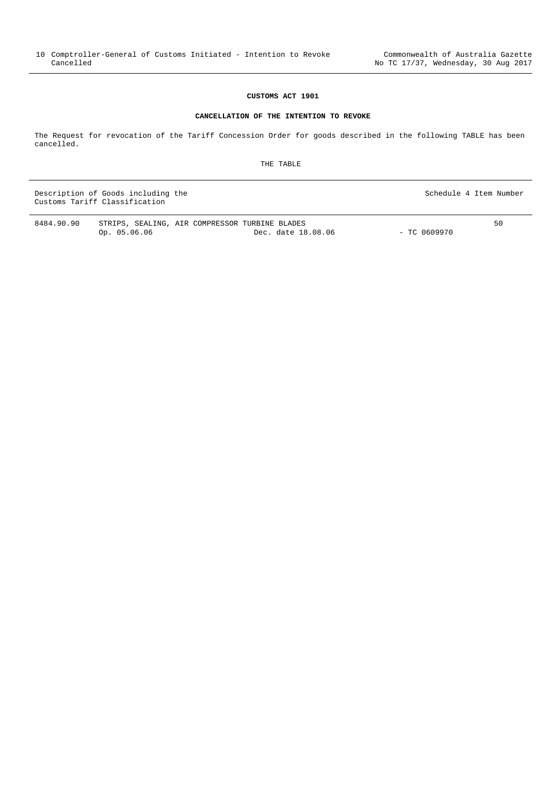#### **CANCELLATION OF THE INTENTION TO REVOKE**

<span id="page-9-0"></span>The Request for revocation of the Tariff Concession Order for goods described in the following TABLE has been cancelled.

THE TABLE

Description of Goods including the Schedule 4 Item Number Customs Tariff Classification

8484.90.90 STRIPS, SEALING, AIR COMPRESSOR TURBINE BLADES -------- --------<br>Dec. date 18.08.06 - TC 0609970

50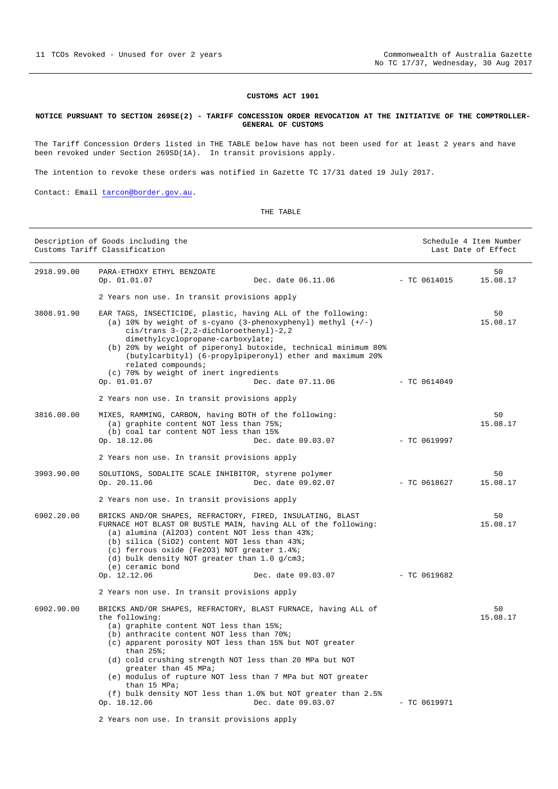#### <span id="page-10-0"></span>**NOTICE PURSUANT TO SECTION 269SE(2) - TARIFF CONCESSION ORDER REVOCATION AT THE INITIATIVE OF THE COMPTROLLER-GENERAL OF CUSTOMS**

The Tariff Concession Orders listed in THE TABLE below have has not been used for at least 2 years and have been revoked under Section 269SD(1A). In transit provisions apply.

The intention to revoke these orders was notified in Gazette TC 17/31 dated 19 July 2017.

Contact: Email [tarcon@border.gov.au.](mailto:tarcon@border.gov.au)

#### THE TABLE

|            | Description of Goods including the<br>Customs Tariff Classification                                                                                                                                                                                                                                                                                                                                                             |                    | Schedule 4 Item Number | Last Date of Effect |
|------------|---------------------------------------------------------------------------------------------------------------------------------------------------------------------------------------------------------------------------------------------------------------------------------------------------------------------------------------------------------------------------------------------------------------------------------|--------------------|------------------------|---------------------|
| 2918.99.00 | PARA-ETHOXY ETHYL BENZOATE<br>Op. 01.01.07                                                                                                                                                                                                                                                                                                                                                                                      | Dec. date 06.11.06 | $-$ TC 0614015         | 50<br>15.08.17      |
|            | 2 Years non use. In transit provisions apply                                                                                                                                                                                                                                                                                                                                                                                    |                    |                        |                     |
| 3808.91.90 | EAR TAGS, INSECTICIDE, plastic, having ALL of the following:<br>(a) 10% by weight of $s$ -cyano (3-phenoxyphenyl) methyl $(+/-)$<br>$cis/trans$ 3-(2,2-dichloroethenyl)-2,2<br>dimethylcyclopropane-carboxylate;<br>(b) 20% by weight of piperonyl butoxide, technical minimum 80%<br>(butylcarbityl) (6-propylpiperonyl) ether and maximum 20%<br>related compounds;<br>(c) 70% by weight of inert ingredients<br>Op. 01.01.07 | Dec. date 07.11.06 | $-$ TC 0614049         | 50<br>15.08.17      |
|            | 2 Years non use. In transit provisions apply                                                                                                                                                                                                                                                                                                                                                                                    |                    |                        |                     |
| 3816.00.00 | MIXES, RAMMING, CARBON, having BOTH of the following:<br>(a) graphite content NOT less than 75%;<br>(b) coal tar content NOT less than 15%<br>Op. 18.12.06                                                                                                                                                                                                                                                                      | Dec. date 09.03.07 | $-$ TC 0619997         | 50<br>15.08.17      |
|            | 2 Years non use. In transit provisions apply                                                                                                                                                                                                                                                                                                                                                                                    |                    |                        |                     |
| 3903.90.00 | SOLUTIONS, SODALITE SCALE INHIBITOR, styrene polymer<br>Op. 20.11.06                                                                                                                                                                                                                                                                                                                                                            | Dec. date 09.02.07 | - TC 0618627           | 50<br>15.08.17      |
|            | 2 Years non use. In transit provisions apply                                                                                                                                                                                                                                                                                                                                                                                    |                    |                        |                     |
| 6902.20.00 | BRICKS AND/OR SHAPES, REFRACTORY, FIRED, INSULATING, BLAST<br>FURNACE HOT BLAST OR BUSTLE MAIN, having ALL of the following:<br>(a) alumina (Al2O3) content NOT less than 43%;<br>(b) silica (SiO2) content NOT less than 43%;<br>(c) ferrous oxide (Fe2O3) NOT greater 1.4%;<br>(d) bulk density NOT greater than 1.0 g/cm3;<br>(e) ceramic bond<br>Op. 12.12.06                                                               | Dec. date 09.03.07 | $-$ TC 0619682         | 50<br>15.08.17      |
|            | 2 Years non use. In transit provisions apply                                                                                                                                                                                                                                                                                                                                                                                    |                    |                        |                     |
| 6902.90.00 | BRICKS AND/OR SHAPES, REFRACTORY, BLAST FURNACE, having ALL of<br>the following:<br>(a) graphite content NOT less than 15%;<br>(b) anthracite content NOT less than 70%;<br>(c) apparent porosity NOT less than 15% but NOT greater<br>than $25$ %;<br>(d) cold crushing strength NOT less than 20 MPa but NOT<br>greater than 45 MPa;<br>(e) modulus of rupture NOT less than 7 MPa but NOT greater<br>than 15 MPa;            |                    |                        | 50<br>15.08.17      |
|            | (f) bulk density NOT less than 1.0% but NOT greater than 2.5%<br>Op. 18.12.06                                                                                                                                                                                                                                                                                                                                                   | Dec. date 09.03.07 | $-$ TC 0619971         |                     |
|            | 2 Years non use. In transit provisions apply                                                                                                                                                                                                                                                                                                                                                                                    |                    |                        |                     |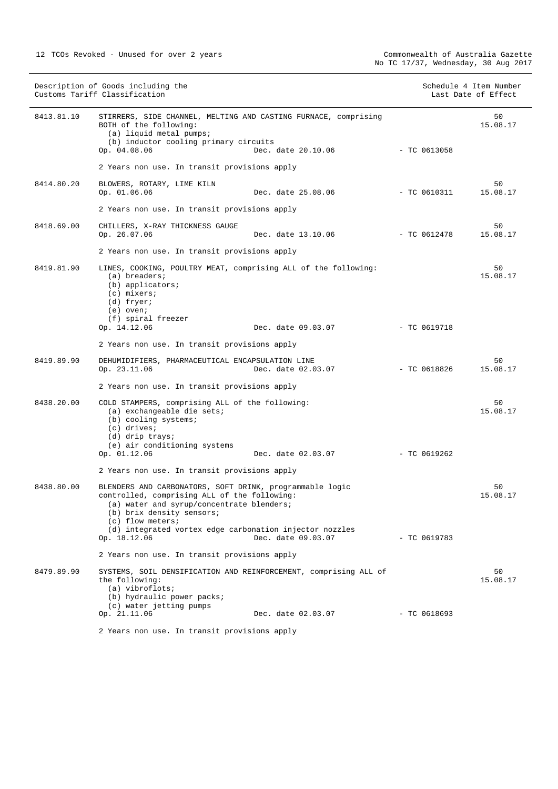|            | Description of Goods including the<br>Customs Tariff Classification                                                                                                                                                                                               |                | Schedule 4 Item Number<br>Last Date of Effect |
|------------|-------------------------------------------------------------------------------------------------------------------------------------------------------------------------------------------------------------------------------------------------------------------|----------------|-----------------------------------------------|
| 8413.81.10 | STIRRERS, SIDE CHANNEL, MELTING AND CASTING FURNACE, comprising<br>BOTH of the following:<br>(a) liquid metal pumps;<br>(b) inductor cooling primary circuits<br>Op. 04.08.06<br>Dec. date 20.10.06                                                               | $-$ TC 0613058 | 50<br>15.08.17                                |
|            | 2 Years non use. In transit provisions apply                                                                                                                                                                                                                      |                |                                               |
| 8414.80.20 | BLOWERS, ROTARY, LIME KILN<br>Op. 01.06.06<br>Dec. date 25.08.06                                                                                                                                                                                                  | $-$ TC 0610311 | 50<br>15.08.17                                |
|            | 2 Years non use. In transit provisions apply                                                                                                                                                                                                                      |                |                                               |
| 8418.69.00 | CHILLERS, X-RAY THICKNESS GAUGE<br>Dec. date 13.10.06<br>Op. 26.07.06                                                                                                                                                                                             | $-$ TC 0612478 | 50<br>15.08.17                                |
|            | 2 Years non use. In transit provisions apply                                                                                                                                                                                                                      |                |                                               |
| 8419.81.90 | LINES, COOKING, POULTRY MEAT, comprising ALL of the following:<br>$(a)$ breaders;<br>$(b)$ applicators;<br>$(c)$ mixers;<br>$(d)$ fryer;<br>$(e)$ oven;<br>(f) spiral freezer<br>Op. 14.12.06<br>Dec. date 09.03.07                                               | $-$ TC 0619718 | 50<br>15.08.17                                |
|            |                                                                                                                                                                                                                                                                   |                |                                               |
|            | 2 Years non use. In transit provisions apply                                                                                                                                                                                                                      |                |                                               |
| 8419.89.90 | DEHUMIDIFIERS, PHARMACEUTICAL ENCAPSULATION LINE<br>Dec. date 02.03.07<br>Op. 23.11.06                                                                                                                                                                            | - TC 0618826   | 50<br>15.08.17                                |
|            | 2 Years non use. In transit provisions apply                                                                                                                                                                                                                      |                |                                               |
| 8438.20.00 | COLD STAMPERS, comprising ALL of the following:<br>(a) exchangeable die sets;<br>(b) cooling systems;<br>$(c)$ drives;<br>(d) drip trays;<br>(e) air conditioning systems<br>Op. 01.12.06<br>Dec. date 02.03.07                                                   | $-$ TC 0619262 | 50<br>15.08.17                                |
|            | 2 Years non use. In transit provisions apply                                                                                                                                                                                                                      |                |                                               |
| 8438.80.00 | BLENDERS AND CARBONATORS, SOFT DRINK, programmable logic<br>controlled, comprising ALL of the following:<br>(a) water and syrup/concentrate blenders;<br>(b) brix density sensors;<br>(c) flow meters;<br>(d) integrated vortex edge carbonation injector nozzles |                | 50<br>15.08.17                                |
|            | Op. 18.12.06<br>Dec. date 09.03.07                                                                                                                                                                                                                                | $-$ TC 0619783 |                                               |
|            | 2 Years non use. In transit provisions apply                                                                                                                                                                                                                      |                |                                               |
| 8479.89.90 | SYSTEMS, SOIL DENSIFICATION AND REINFORCEMENT, comprising ALL of<br>the following:<br>$(a)$ vibroflots;<br>(b) hydraulic power packs;<br>(c) water jetting pumps                                                                                                  |                | 50<br>15.08.17                                |
|            | Op. 21.11.06<br>Dec. date 02.03.07                                                                                                                                                                                                                                | $-$ TC 0618693 |                                               |
|            | 2 Years non use. In transit provisions apply                                                                                                                                                                                                                      |                |                                               |